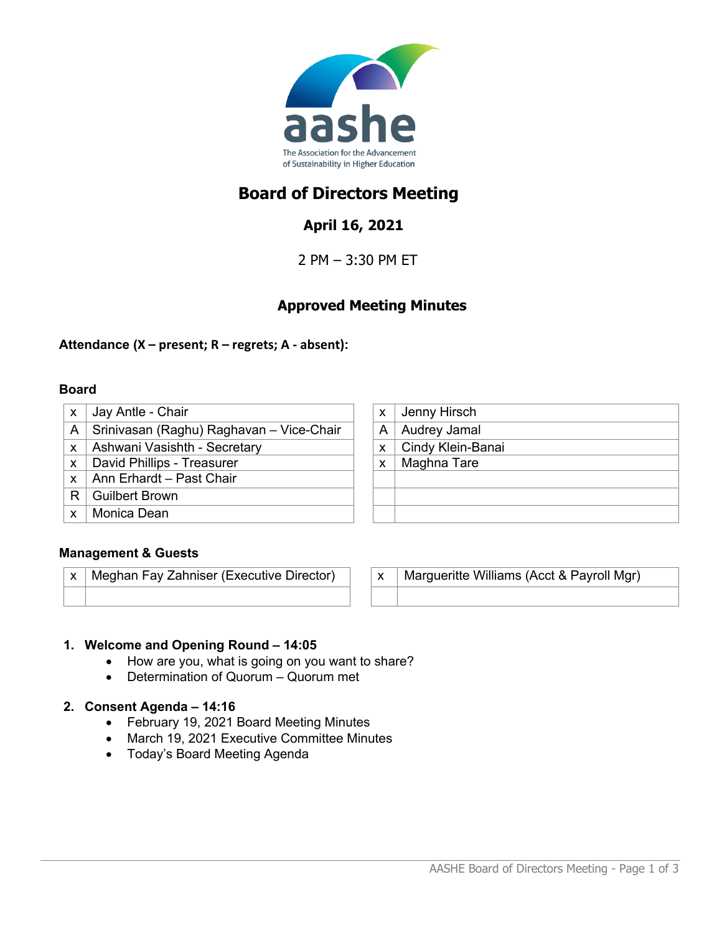

# **Board of Directors Meeting**

## **April 16, 2021**

2 PM – 3:30 PM ET

## **Approved Meeting Minutes**

## **Attendance (X – present; R – regrets; A - absent):**

#### **Board**

- $x \mid$  Jay Antle Chair A | Srinivasan (Raghu) Raghavan – Vice-Chair  $x$  | Ashwani Vasishth - Secretary
- $x \mid$  David Phillips Treasurer
- $x \mid$  Ann Erhardt Past Chair
- R Guilbert Brown
- x | Monica Dean

| X | Jenny Hirsch      |
|---|-------------------|
| A | Audrey Jamal      |
| X | Cindy Klein-Banai |
| X | Maghna Tare       |
|   |                   |
|   |                   |
|   |                   |
|   |                   |

## **Management & Guests**

 $x \mid$  Meghan Fay Zahniser (Executive Director)  $\mid x \mid$  Margueritte Williams (Acct & Payroll Mgr)

## **1. Welcome and Opening Round – 14:05**

- How are you, what is going on you want to share?
- Determination of Quorum Quorum met

## **2. Consent Agenda – 14:16**

- February 19, 2021 Board Meeting Minutes
- March 19, 2021 Executive Committee Minutes
- Today's Board Meeting Agenda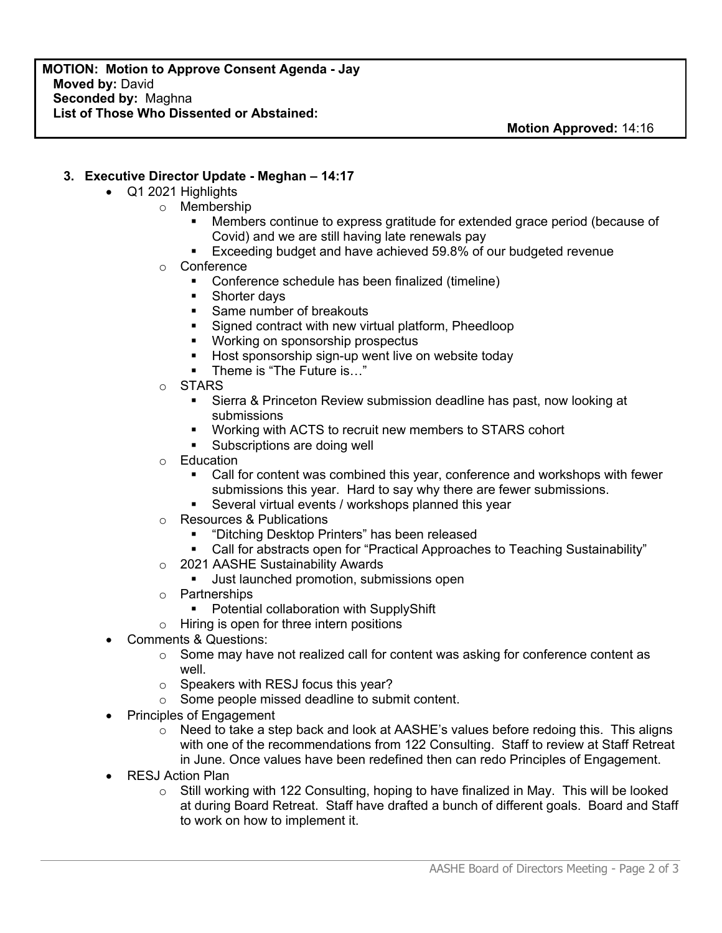#### **3. Executive Director Update - Meghan – 14:17**

- Q1 2021 Highlights
	- o Membership
		- § Members continue to express gratitude for extended grace period (because of Covid) and we are still having late renewals pay
		- Exceeding budget and have achieved 59.8% of our budgeted revenue
	- o Conference
		- Conference schedule has been finalized (timeline)
		- § Shorter days
		- Same number of breakouts
		- Signed contract with new virtual platform, Pheedloop
		- Working on sponsorship prospectus
		- Host sponsorship sign-up went live on website today
		- § Theme is "The Future is…"
	- o STARS
		- Sierra & Princeton Review submission deadline has past, now looking at submissions
		- Working with ACTS to recruit new members to STARS cohort
		- Subscriptions are doing well
	- o Education
		- Call for content was combined this year, conference and workshops with fewer submissions this year. Hard to say why there are fewer submissions.
		- Several virtual events / workshops planned this year
	- o Resources & Publications
		- § "Ditching Desktop Printers" has been released
		- Call for abstracts open for "Practical Approaches to Teaching Sustainability"
	- o 2021 AASHE Sustainability Awards
		- **■** Just launched promotion, submissions open
	- o Partnerships
		- Potential collaboration with SupplyShift
	- $\circ$  Hiring is open for three intern positions
- Comments & Questions:
	- o Some may have not realized call for content was asking for conference content as well.
	- o Speakers with RESJ focus this year?
	- o Some people missed deadline to submit content.
- Principles of Engagement
	- $\circ$  Need to take a step back and look at AASHE's values before redoing this. This aligns with one of the recommendations from 122 Consulting. Staff to review at Staff Retreat in June. Once values have been redefined then can redo Principles of Engagement.
- RESJ Action Plan
	- o Still working with 122 Consulting, hoping to have finalized in May. This will be looked at during Board Retreat. Staff have drafted a bunch of different goals. Board and Staff to work on how to implement it.